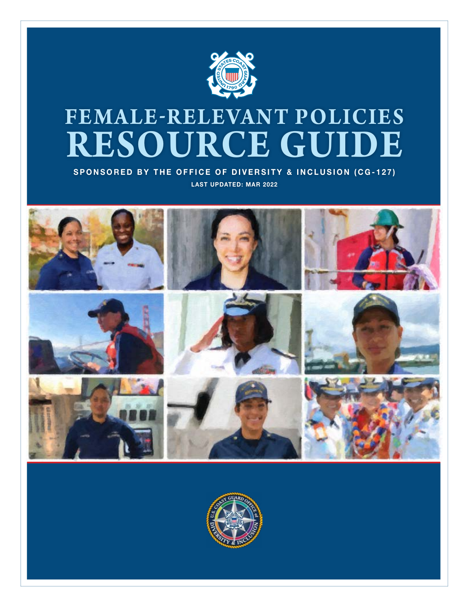

# **FEMALE-RELEVANT POLICIES RESOURCE GUIDE**

SPONSORED BY THE OFFICE OF DIVERSITY & INCLUSION (CG-127) LAST UPDATED: MAR 2022



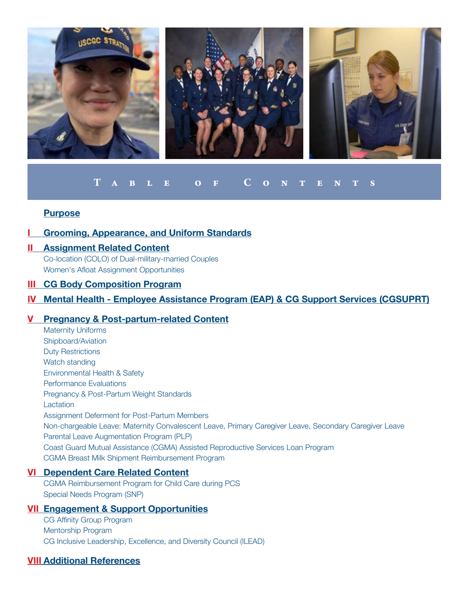

# **Ta bl e of C on t en t s**

#### **[Purpose](#page-3-0)**

# **I** [Grooming, Appearance, and Uniform Standards](#page-4-0)

# II [Assignment Related Content](#page-7-0)

Co-location (COLO) of Dual-military-married Couples Women's Afloat Assignment Opportunities

## III [CG Body Composition Program](#page-7-0)

# IV [Mental Health - Employee Assistance Program \(EAP\) & CG Support Services \(CGSUPRT\)](#page-8-0)

#### V [Pregnancy & Post-partum-related Content](#page-8-0)

Maternity Uniforms Shipboard/Aviation Duty Restrictions Watch standing Environmental Health & Safety Performance Evaluations Pregnancy & Post-Partum Weight Standards Lactation Assignment Deferment for Post-Partum Members Non-chargeable Leave: Maternity Convalescent Leave, Primary Caregiver Leave, Secondary Caregiver Leave Parental Leave Augmentation Program (PLP) Coast Guard Mutual Assistance (CGMA) Assisted Reproductive Services Loan Program CGMA Breast Milk Shipment Reimbursement Program

#### VI [Dependent Care Related Content](#page-12-0)

CGMA Reimbursement Program for Child Care during PCS Special Needs Program (SNP)

#### VII [Engagement & Support Opportunities](#page-12-0)

CG Affinity Group Program Mentorship Program CG Inclusive Leadership, Excellence, and Diversity Council (ILEAD)

# VIII [Additional References](#page-14-0)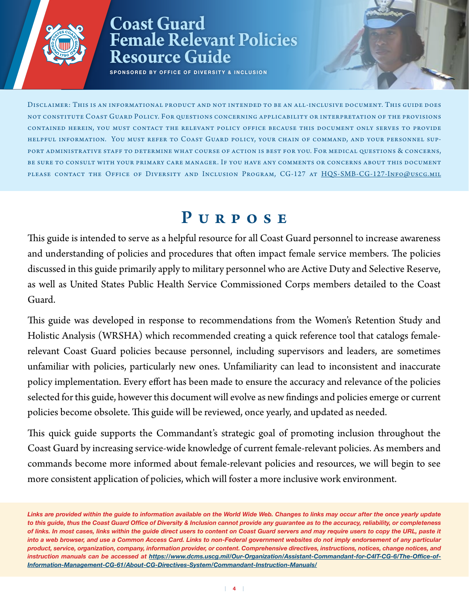# **Coast Guard Female Relevant Policies Resource Guide**

SPONSORED BY OFFICE OF DIVERSITY & INCLUSION

<span id="page-3-0"></span>Disclaimer: This is an informational product and not intended to be an all-inclusive document. This guide does not constitute Coast Guard Policy. For questions concerning applicability or interpretation of the provisions contained herein, you must contact the relevant policy office because this document only serves to provide helpful information. You must refer to Coast Guard policy, your chain of command, and your personnel support administrative staff to determine what course of action is best for you. For medical questions & concerns, be sure to consult with your primary care manager. If you have any comments or concerns about this document please contact the Office of Diversity and Inclusion Program, CG-127 at [HQS-SMB-CG-127-Info@uscg.mil](mailto:HQS-SMB-CG-127-Info%40uscg.mil?subject=)

# PURPOSE

This guide is intended to serve as a helpful resource for all Coast Guard personnel to increase awareness and understanding of policies and procedures that often impact female service members. The policies discussed in this guide primarily apply to military personnel who are Active Duty and Selective Reserve, as well as United States Public Health Service Commissioned Corps members detailed to the Coast Guard.

This guide was developed in response to recommendations from the Women's Retention Study and Holistic Analysis (WRSHA) which recommended creating a quick reference tool that catalogs femalerelevant Coast Guard policies because personnel, including supervisors and leaders, are sometimes unfamiliar with policies, particularly new ones. Unfamiliarity can lead to inconsistent and inaccurate policy implementation. Every effort has been made to ensure the accuracy and relevance of the policies selected for this guide, however this document will evolve as new findings and policies emerge or current policies become obsolete. This guide will be reviewed, once yearly, and updated as needed.

This quick guide supports the Commandant's strategic goal of promoting inclusion throughout the Coast Guard by increasing service-wide knowledge of current female-relevant policies. As members and commands become more informed about female-relevant policies and resources, we will begin to see more consistent application of policies, which will foster a more inclusive work environment.

Links are provided within the guide to information available on the World Wide Web. Changes to links may occur after the once yearly update to this guide, thus the Coast Guard Office of Diversity & Inclusion cannot provide any guarantee as to the accuracy, reliability, or completeness of links. In most cases, links within the guide direct users to content on Coast Guard servers and may require users to copy the URL, paste it into a web browser, and use a Common Access Card. Links to non-Federal government websites do not imply endorsement of any particular product, service, organization, company, information provider, or content. Comprehensive directives, instructions, notices, change notices, and instruction manuals can be accessed at [https://www.dcms.uscg.mil/Our-Organization/Assistant-Commandant-for-C4IT-CG-6/The-Office-of-](https://www.dcms.uscg.mil/Our-Organization/Assistant-Commandant-for-C4IT-CG-6/The-Office-of-Information-Management-CG-61/About-CG-Directives-System/Commandant-Instruction-Manuals/)[Information-Management-CG-61/About-CG-Directives-System/Commandant-Instruction-Manuals/](https://www.dcms.uscg.mil/Our-Organization/Assistant-Commandant-for-C4IT-CG-6/The-Office-of-Information-Management-CG-61/About-CG-Directives-System/Commandant-Instruction-Manuals/)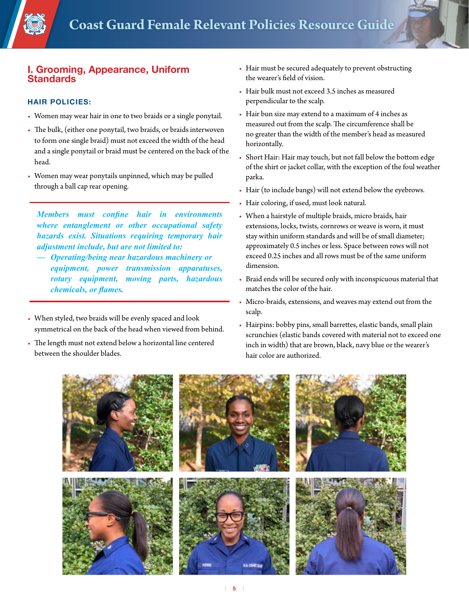<span id="page-4-0"></span>

# I. Grooming, Appearance, Uniform **Standards**

#### HAIR POLICIES:

- Women may wear hair in one to two braids or a single ponytail.
- The bulk, (either one ponytail, two braids, or braids interwoven to form one single braid) must not exceed the width of the head and a single ponytail or braid must be centered on the back of the head.
- Women may wear ponytails unpinned, which may be pulled through a ball cap rear opening.

*Members must confine hair in environments where entanglement or other occupational safety hazards exist. Situations requiring temporary hair adjustment include, but are not limited to:* 

- *— Operating/being near hazardous machinery or equipment, power transmission apparatuses, rotary equipment, moving parts, hazardous chemicals, or flames.*
- When styled, two braids will be evenly spaced and look symmetrical on the back of the head when viewed from behind.
- The length must not extend below a horizontal line centered between the shoulder blades.
- Hair must be secured adequately to prevent obstructing the wearer's field of vision.
- Hair bulk must not exceed 3.5 inches as measured perpendicular to the scalp.
- Hair bun size may extend to a maximum of 4 inches as measured out from the scalp. The circumference shall be no greater than the width of the member's head as measured horizontally.
- Short Hair: Hair may touch, but not fall below the bottom edge of the shirt or jacket collar, with the exception of the foul weather parka.
- Hair (to include bangs) will not extend below the eyebrows.
- Hair coloring, if used, must look natural.
- When a hairstyle of multiple braids, micro braids, hair extensions, locks, twists, cornrows or weave is worn, it must stay within uniform standards and will be of small diameter; approximately 0.5 inches or less. Space between rows will not exceed 0.25 inches and all rows must be of the same uniform dimension.
- Braid ends will be secured only with inconspicuous material that matches the color of the hair.
- Micro-braids, extensions, and weaves may extend out from the scalp.
- Hairpins: bobby pins, small barrettes, elastic bands, small plain scrunchies (elastic bands covered with material not to exceed one inch in width) that are brown, black, navy blue or the wearer's hair color are authorized.

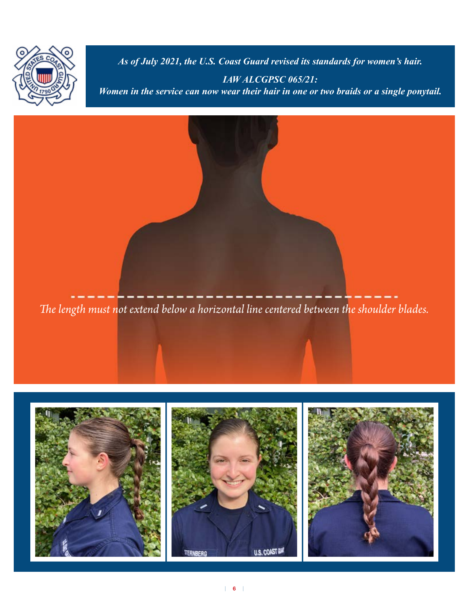

*As of July 2021, the U.S. Coast Guard revised its standards for women's hair. IAW ALCGPSC 065/21: Women in the service can now wear their hair in one or two braids or a single ponytail.* 

*The length must not extend below a horizontal line centered between the shoulder blades.* 

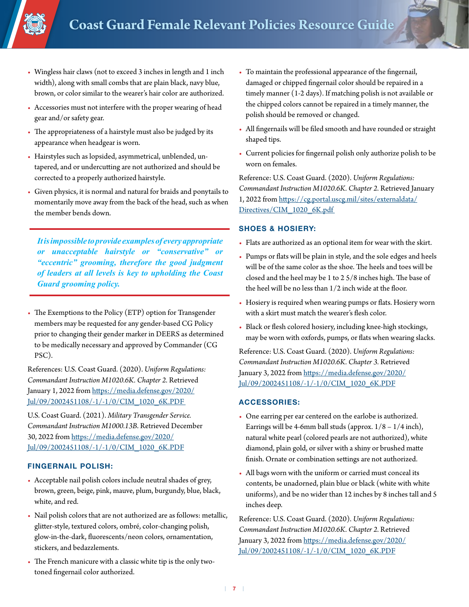- Wingless hair claws (not to exceed 3 inches in length and 1 inch width), along with small combs that are plain black, navy blue, brown, or color similar to the wearer's hair color are authorized.
- Accessories must not interfere with the proper wearing of head gear and/or safety gear.
- The appropriateness of a hairstyle must also be judged by its appearance when headgear is worn.
- Hairstyles such as lopsided, asymmetrical, unblended, untapered, and or undercutting are not authorized and should be corrected to a properly authorized hairstyle.
- Given physics, it is normal and natural for braids and ponytails to momentarily move away from the back of the head, such as when the member bends down.

*It is impossible to provide examples of every appropriate or unacceptable hairstyle or "conservative" or "eccentric" grooming, therefore the good judgment of leaders at all levels is key to upholding the Coast Guard grooming policy.* 

• The Exemptions to the Policy (ETP) option for Transgender members may be requested for any gender-based CG Policy prior to changing their gender marker in DEERS as determined to be medically necessary and approved by Commander (CG PSC).

References: U.S. Coast Guard. (2020). *Uniform Regulations: Commandant Instruction M1020.6K. Chapter 2.* Retrieved January 1, 2022 from [https://media.defense.gov/2020/](https://media.defense.gov/2020/Jul/09/2002451108/-1/-1/0/CIM_1020_6K.PDF ) [Jul/09/2002451108/-1/-1/0/CIM\\_1020\\_6K.PDF](https://media.defense.gov/2020/Jul/09/2002451108/-1/-1/0/CIM_1020_6K.PDF ) 

U.S. Coast Guard. (2021). *Military Transgender Service. Commandant Instruction M1000.13B*. Retrieved December 30, 2022 from https://media.defense.gov/2020/ Jul/09/2002451108/-1/-1/0/CIM\_1020\_6K.PDF

#### FINGERNAIL POLISH:

- Acceptable nail polish colors include neutral shades of grey, brown, green, beige, pink, mauve, plum, burgundy, blue, black, white, and red.
- Nail polish colors that are not authorized are as follows: metallic, glitter-style, textured colors, ombré, color-changing polish, glow-in-the-dark, fluorescents/neon colors, ornamentation, stickers, and bedazzlements.
- The French manicure with a classic white tip is the only twotoned fingernail color authorized.
- To maintain the professional appearance of the fingernail, damaged or chipped fingernail color should be repaired in a timely manner (1-2 days). If matching polish is not available or the chipped colors cannot be repaired in a timely manner, the polish should be removed or changed.
- All fingernails will be filed smooth and have rounded or straight shaped tips.
- Current policies for fingernail polish only authorize polish to be worn on females.

Reference: U.S. Coast Guard. (2020). *Uniform Regulations: Commandant Instruction M1020.6K. Chapter 2.* Retrieved January 1, 2022 from [https://cg.portal.uscg.mil/sites/externaldata/](https://cg.portal.uscg.mil/sites/externaldata/Directives/CIM_1020_6K.pdf ) [Directives/CIM\\_1020\\_6K.pdf](https://cg.portal.uscg.mil/sites/externaldata/Directives/CIM_1020_6K.pdf ) 

#### SHOES & HOSIERY:

- Flats are authorized as an optional item for wear with the skirt.
- Pumps or flats will be plain in style, and the sole edges and heels will be of the same color as the shoe. The heels and toes will be closed and the heel may be 1 to 2 5/8 inches high. The base of the heel will be no less than 1/2 inch wide at the floor.
- Hosiery is required when wearing pumps or flats. Hosiery worn with a skirt must match the wearer's flesh color.
- Black or flesh colored hosiery, including knee-high stockings, may be worn with oxfords, pumps, or flats when wearing slacks.

Reference: U.S. Coast Guard. (2020). *Uniform Regulations: Commandant Instruction M1020.6K. Chapter 3.* Retrieved January 3, 2022 from https://media.defense.gov/2020/ Jul/09/2002451108/-1/-1/0/CIM\_1020\_6K.PDF

#### ACCESSORIES:

- One earring per ear centered on the earlobe is authorized. Earrings will be 4-6mm ball studs (approx.  $1/8 - 1/4$  inch), natural white pearl (colored pearls are not authorized), white diamond, plain gold, or silver with a shiny or brushed matte finish. Ornate or combination settings are not authorized.
- All bags worn with the uniform or carried must conceal its contents, be unadorned, plain blue or black (white with white uniforms), and be no wider than 12 inches by 8 inches tall and 5 inches deep.

Reference: U.S. Coast Guard. (2020). *Uniform Regulations: Commandant Instruction M1020.6K. Chapter 2.* Retrieved January 3, 2022 from https://media.defense.gov/2020/ Jul/09/2002451108/-1/-1/0/CIM\_1020\_6K.PDF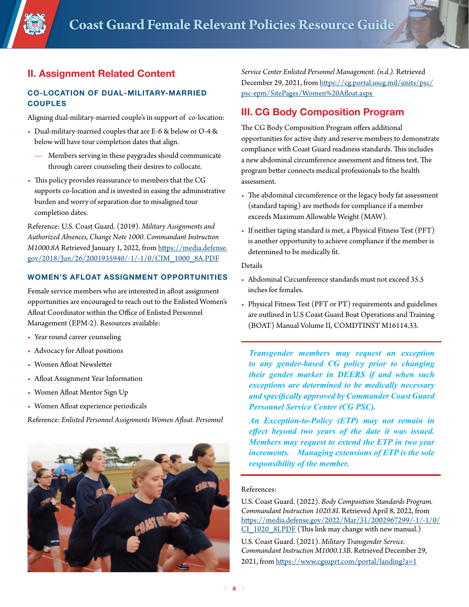# <span id="page-7-0"></span>II. Assignment Related Content

#### CO-LOCATION OF DUAL-MILITARY-MARRIED COUPLES

Aligning dual-military-married couple's in support of co-location:

- Dual-military-married couples that are E-6 & below or O-4 & below will have tour completion dates that align.
	- Members serving in these paygrades should communicate through career counseling their desires to collocate.
- This policy provides reassurance to members that the CG supports co-location and is invested in easing the administrative burden and worry of separation due to misaligned tour completion dates.

Reference: U.S. Coast Guard. (2019). *Military Assignments and Authorized Absences, Change Note 1000. Commandant Instruction M1000.8A* Retrieved January 1, 2022, from https://media.defense. gov/2018/Jun/26/2001935940/-1/-1/0/CIM\_1000\_8A.PDF

#### WOMEN'S AFLOAT ASSIGNMENT OPPORTUNITIES

Female service members who are interested in afloat assignment opportunities are encouraged to reach out to the Enlisted Women's Afloat Coordinator within the Office of Enlisted Personnel Management (EPM-2). Resources available:

- Year round career counseling
- Advocacy for Afloat positions
- Women Afloat Newsletter
- Afloat Assignment Year Information
- Women Afloat Mentor Sign Up
- Women Afloat experience periodicals

Reference: *Enlisted Personnel Assignments Women Afloat. Personnel* 



*Service Center Enlisted Personnel Management. (n.d.).* Retrieved December 29, 2021, from [https://cg.portal.uscg.mil/units/psc/](https://cg.portal.uscg.mil/units/psc/psc-epm/SitePages/Women%20Afloat.aspx  ) [psc-epm/SitePages/Women%20Afloat.aspx](https://cg.portal.uscg.mil/units/psc/psc-epm/SitePages/Women%20Afloat.aspx  ) 

# III. CG Body Composition Program

The CG Body Composition Program offers additional opportunities for active duty and reserve members to demonstrate compliance with Coast Guard readiness standards. This includes a new abdominal circumference assessment and fitness test. The program better connects medical professionals to the health assessment.

- The abdominal circumference or the legacy body fat assessment (standard taping) are methods for compliance if a member exceeds Maximum Allowable Weight (MAW).
- If neither taping standard is met, a Physical Fitness Test (PFT) is another opportunity to achieve compliance if the member is determined to be medically fit.

Details

- Abdominal Circumference standards must not exceed 35.5 inches for females.
- Physical Fitness Test (PFT or PT) requirements and guidelines are outlined in U.S Coast Guard Boat Operations and Training (BOAT) Manual Volume II, COMDTINST M16114.33.

*Transgender members may request an exception to any gender-based CG policy prior to changing their gender marker in DEERS if and when such exceptions are determined to be medically necessary and specifically approved by Commander Coast Guard Personnel Service Center (CG PSC).* 

*An Exception-to-Policy (ETP) may not remain in effect beyond two years of the date it was issued. Members may request to extend the ETP in two year increments. Managing extensions of ETP is the sole responsibility of the member.*

#### References:

U.S. Coast Guard. (2022). *Body Composition Standards Program. Commandant Instruction 1020.8I*. Retrieved April 8, 2022, from [https://media.defense.gov/2022/Mar/31/2002967299/-1/-1/0/](https://media.defense.gov/2022/Mar/31/2002967299/-1/-1/0/CI_1020_8I.PDF) [CI\\_1020\\_8I.PDF](https://media.defense.gov/2022/Mar/31/2002967299/-1/-1/0/CI_1020_8I.PDF) (This link may change with new manual.)

U.S. Coast Guard. (2021). *Military Transgender Service. Commandant Instruction M1000.13B*. Retrieved December 29, 2021, from [https://www.cgsuprt.com/portal/landing?a=1](https://www.cgsuprt.com/portal/landing?a=1 )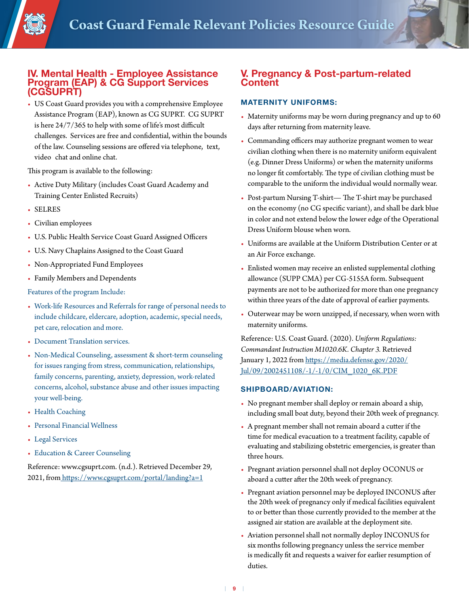<span id="page-8-0"></span>

# IV. Mental Health - Employee Assistance Program (EAP) & CG Support Services (CGSUPRT)

• US Coast Guard provides you with a comprehensive Employee Assistance Program (EAP), known as CG SUPRT. CG SUPRT is here 24/7/365 to help with some of life's most difficult challenges. Services are free and confidential, within the bounds of the law. Counseling sessions are offered via telephone, text, video chat and online chat.

This program is available to the following:

- Active Duty Military (includes Coast Guard Academy and Training Center Enlisted Recruits)
- SELRES
- Civilian employees
- U.S. Public Health Service Coast Guard Assigned Officers
- U.S. Navy Chaplains Assigned to the Coast Guard
- Non-Appropriated Fund Employees
- Family Members and Dependents

Features of the program Include:

- Work-life Resources and Referrals for range of personal needs to include childcare, eldercare, adoption, academic, special needs, pet care, relocation and more.
- Document Translation services.
- Non-Medical Counseling, assessment & short-term counseling for issues ranging from stress, communication, relationships, family concerns, parenting, anxiety, depression, work-related concerns, alcohol, substance abuse and other issues impacting your well-being.
- Health Coaching
- Personal Financial Wellness
- Legal Services
- Education & Career Counseling

Reference: www.cgsuprt.com. (n.d.). Retrieved December 29, 2021, fro[m]( https://www.cgsuprt.com/portal/landing?a=1  ) https://www.cgsuprt.com/portal/landing?a=1

# V. Pregnancy & Post-partum-related Content

#### MATERNITY UNIFORMS:

- Maternity uniforms may be worn during pregnancy and up to 60 days after returning from maternity leave.
- Commanding officers may authorize pregnant women to wear civilian clothing when there is no maternity uniform equivalent (e.g. Dinner Dress Uniforms) or when the maternity uniforms no longer fit comfortably. The type of civilian clothing must be comparable to the uniform the individual would normally wear.
- Post-partum Nursing T-shirt— The T-shirt may be purchased on the economy (no CG specific variant), and shall be dark blue in color and not extend below the lower edge of the Operational Dress Uniform blouse when worn.
- Uniforms are available at the Uniform Distribution Center or at an Air Force exchange.
- Enlisted women may receive an enlisted supplemental clothing allowance (SUPP CMA) per CG-5155A form. Subsequent payments are not to be authorized for more than one pregnancy within three years of the date of approval of earlier payments.
- Outerwear may be worn unzipped, if necessary, when worn with maternity uniforms.

Reference: U.S. Coast Guard. (2020). *Uniform Regulations: Commandant Instruction M1020.6K. Chapter 3.* Retrieved January 1, 2022 from [https://media.defense.gov/2020/](https://media.defense.gov/2020/Jul/09/2002451108/-1/-1/0/CIM_1020_6K.PDF) [Jul/09/2002451108/-1/-1/0/CIM\\_1020\\_6K.PDF](https://media.defense.gov/2020/Jul/09/2002451108/-1/-1/0/CIM_1020_6K.PDF) 

#### SHIPBOARD/AVIATION:

- No pregnant member shall deploy or remain aboard a ship, including small boat duty, beyond their 20th week of pregnancy.
- A pregnant member shall not remain aboard a cutter if the time for medical evacuation to a treatment facility, capable of evaluating and stabilizing obstetric emergencies, is greater than three hours.
- Pregnant aviation personnel shall not deploy OCONUS or aboard a cutter after the 20th week of pregnancy.
- Pregnant aviation personnel may be deployed INCONUS after the 20th week of pregnancy only if medical facilities equivalent to or better than those currently provided to the member at the assigned air station are available at the deployment site.
- Aviation personnel shall not normally deploy INCONUS for six months following pregnancy unless the service member is medically fit and requests a waiver for earlier resumption of duties.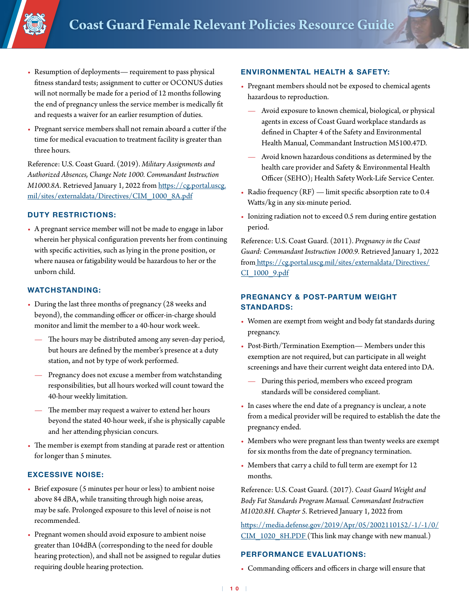- Resumption of deployments— requirement to pass physical fitness standard tests; assignment to cutter or OCONUS duties will not normally be made for a period of 12 months following the end of pregnancy unless the service member is medically fit and requests a waiver for an earlier resumption of duties.
- Pregnant service members shall not remain aboard a cutter if the time for medical evacuation to treatment facility is greater than three hours.

Reference: U.S. Coast Guard. (2019). *Military Assignments and Authorized Absences, Change Note 1000. Commandant Instruction M1000.8A.* Retrieved January 1, 2022 from [https://cg.portal.uscg.](https://cg.portal.uscg.mil/sites/externaldata/Directives/CIM_1000_8A.pdf ) [mil/sites/externaldata/Directives/CIM\\_1000\\_8A.pdf](https://cg.portal.uscg.mil/sites/externaldata/Directives/CIM_1000_8A.pdf )

#### DUTY RESTRICTIONS:

• A pregnant service member will not be made to engage in labor wherein her physical configuration prevents her from continuing with specific activities, such as lying in the prone position, or where nausea or fatigability would be hazardous to her or the unborn child.

#### WATCHSTANDING:

- During the last three months of pregnancy (28 weeks and beyond), the commanding officer or officer-in-charge should monitor and limit the member to a 40-hour work week.
	- The hours may be distributed among any seven-day period, but hours are defined by the member's presence at a duty station, and not by type of work performed.
	- Pregnancy does not excuse a member from watchstanding responsibilities, but all hours worked will count toward the 40-hour weekly limitation.
	- The member may request a waiver to extend her hours beyond the stated 40-hour week, if she is physically capable and her attending physician concurs.
- The member is exempt from standing at parade rest or attention for longer than 5 minutes.

#### EXCESSIVE NOISE:

- Brief exposure (5 minutes per hour or less) to ambient noise above 84 dBA, while transiting through high noise areas, may be safe. Prolonged exposure to this level of noise is not recommended.
- Pregnant women should avoid exposure to ambient noise greater than 104dBA (corresponding to the need for double hearing protection), and shall not be assigned to regular duties requiring double hearing protection.

#### ENVIRONMENTAL HEALTH & SAFETY:

- Pregnant members should not be exposed to chemical agents hazardous to reproduction.
	- Avoid exposure to known chemical, biological, or physical agents in excess of Coast Guard workplace standards as defined in Chapter 4 of the Safety and Environmental Health Manual, Commandant Instruction M5100.47D.
	- Avoid known hazardous conditions as determined by the health care provider and Safety & Environmental Health Officer (SEHO); Health Safety Work-Life Service Center.
- Radio frequency (RF) limit specific absorption rate to 0.4 Watts/kg in any six-minute period.
- Ionizing radiation not to exceed 0.5 rem during entire gestation period.

Reference: U.S. Coast Guard. (2011). *Pregnancy in the Coast Guard: Commandant Instruction 1000.9.* Retrieved January 1, 2022 from [https://cg.portal.uscg.mil/sites/externaldata/Directives/]( https://cg.portal.uscg.mil/sites/externaldata/Directives/CI_1000_9.pdf) [CI\\_1000\\_9.pdf]( https://cg.portal.uscg.mil/sites/externaldata/Directives/CI_1000_9.pdf)

#### PREGNANCY & POST-PARTUM WEIGHT STANDARDS:

- Women are exempt from weight and body fat standards during pregnancy.
- Post-Birth/Termination Exemption— Members under this exemption are not required, but can participate in all weight screenings and have their current weight data entered into DA.
	- During this period, members who exceed program standards will be considered compliant.
- In cases where the end date of a pregnancy is unclear, a note from a medical provider will be required to establish the date the pregnancy ended.
- Members who were pregnant less than twenty weeks are exempt for six months from the date of pregnancy termination.
- Members that carry a child to full term are exempt for 12 months.

Reference: U.S. Coast Guard. (2017). *Coast Guard Weight and Body Fat Standards Program Manual. Commandant Instruction M1020.8H. Chapter 5.* Retrieved January 1, 2022 from

[https://media.defense.gov/2019/Apr/05/2002110152/-1/-1/0/](https://media.defense.gov/2019/Apr/05/2002110152/-1/-1/0/CIM_1020_8H.PDF) CIM 1020 8H.PDF (This link may change with new manual.)

#### PERFORMANCE EVALUATIONS:

• Commanding officers and officers in charge will ensure that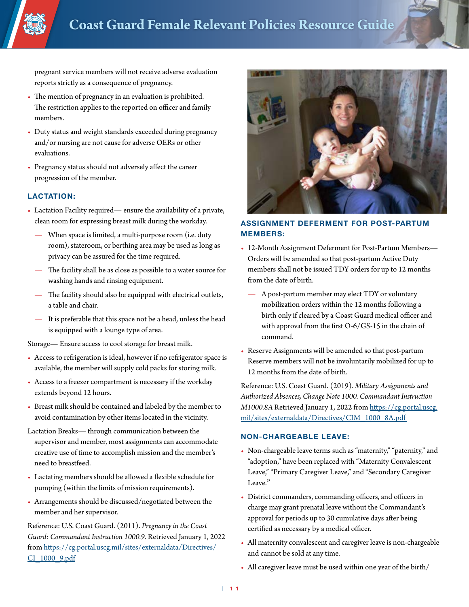pregnant service members will not receive adverse evaluation reports strictly as a consequence of pregnancy.

- The mention of pregnancy in an evaluation is prohibited. The restriction applies to the reported on officer and family members.
- Duty status and weight standards exceeded during pregnancy and/or nursing are not cause for adverse OERs or other evaluations.
- Pregnancy status should not adversely affect the career progression of the member.

#### LACTATION:

- Lactation Facility required— ensure the availability of a private, clean room for expressing breast milk during the workday.
	- When space is limited, a multi-purpose room (i.e. duty room), stateroom, or berthing area may be used as long as privacy can be assured for the time required.
	- The facility shall be as close as possible to a water source for washing hands and rinsing equipment.
	- The facility should also be equipped with electrical outlets, a table and chair.
	- It is preferable that this space not be a head, unless the head is equipped with a lounge type of area.

Storage— Ensure access to cool storage for breast milk.

- Access to refrigeration is ideal, however if no refrigerator space is available, the member will supply cold packs for storing milk.
- Access to a freezer compartment is necessary if the workday extends beyond 12 hours.
- Breast milk should be contained and labeled by the member to avoid contamination by other items located in the vicinity.
- Lactation Breaks— through communication between the supervisor and member, most assignments can accommodate creative use of time to accomplish mission and the member's need to breastfeed.
- Lactating members should be allowed a flexible schedule for pumping (within the limits of mission requirements).
- Arrangements should be discussed/negotiated between the member and her supervisor.

Reference: U.S. Coast Guard. (2011). *Pregnancy in the Coast Guard: Commandant Instruction 1000.9.* Retrieved January 1, 2022 from [https://cg.portal.uscg.mil/sites/externaldata/Directives/](https://cg.portal.uscg.mil/sites/externaldata/Directives/CI_1000_9.pdf) [CI\\_1000\\_9.pdf](https://cg.portal.uscg.mil/sites/externaldata/Directives/CI_1000_9.pdf)



# ASSIGNMENT DEFERMENT FOR POST-PARTUM MEMBERS:

- 12-Month Assignment Deferment for Post-Partum Members— Orders will be amended so that post-partum Active Duty members shall not be issued TDY orders for up to 12 months from the date of birth.
	- A post-partum member may elect TDY or voluntary mobilization orders within the 12 months following a birth only if cleared by a Coast Guard medical officer and with approval from the first O-6/GS-15 in the chain of command.
- Reserve Assignments will be amended so that post-partum Reserve members will not be involuntarily mobilized for up to 12 months from the date of birth.

Reference: U.S. Coast Guard. (2019). *Military Assignments and Authorized Absences, Change Note 1000. Commandant Instruction M1000.8A* Retrieved January 1, 2022 from [https://cg.portal.uscg.](https://cg.portal.uscg.mil/sites/externaldata/Directives/CIM_1000_8A.pdf ) [mil/sites/externaldata/Directives/CIM\\_1000\\_8A.pdf](https://cg.portal.uscg.mil/sites/externaldata/Directives/CIM_1000_8A.pdf ) 

#### NON-CHARGEABLE LEAVE:

- Non-chargeable leave terms such as "maternity," "paternity," and "adoption," have been replaced with "Maternity Convalescent Leave," "Primary Caregiver Leave," and "Secondary Caregiver Leave."
- District commanders, commanding officers, and officers in charge may grant prenatal leave without the Commandant's approval for periods up to 30 cumulative days after being certified as necessary by a medical officer.
- All maternity convalescent and caregiver leave is non-chargeable and cannot be sold at any time.
- All caregiver leave must be used within one year of the birth/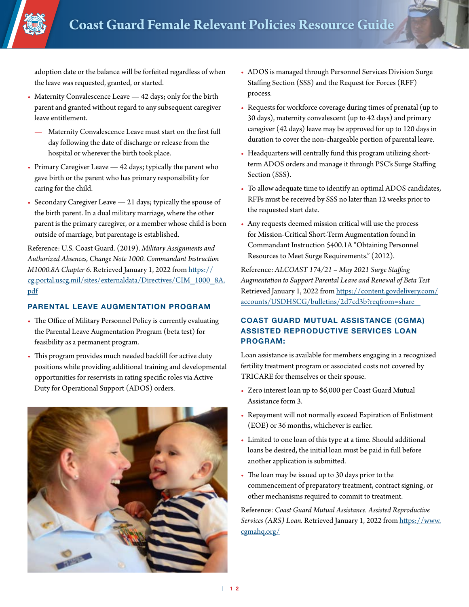adoption date or the balance will be forfeited regardless of when the leave was requested, granted, or started.

- Maternity Convalescence Leave 42 days; only for the birth parent and granted without regard to any subsequent caregiver leave entitlement.
	- Maternity Convalescence Leave must start on the first full day following the date of discharge or release from the hospital or wherever the birth took place.
- Primary Caregiver Leave 42 days; typically the parent who gave birth or the parent who has primary responsibility for caring for the child.
- Secondary Caregiver Leave 21 days; typically the spouse of the birth parent. In a dual military marriage, where the other parent is the primary caregiver, or a member whose child is born outside of marriage, but parentage is established.

Reference: U.S. Coast Guard. (2019). *Military Assignments and Authorized Absences, Change Note 1000. Commandant Instruction M1000.8A Chapter 6*. Retrieved January 1, 2022 from [https://](https://cg.portal.uscg.mil/sites/externaldata/Directives/CIM_1000_8A.pdf ) [cg.portal.uscg.mil/sites/externaldata/Directives/CIM\\_1000\\_8A.](https://cg.portal.uscg.mil/sites/externaldata/Directives/CIM_1000_8A.pdf ) [pdf](https://cg.portal.uscg.mil/sites/externaldata/Directives/CIM_1000_8A.pdf )

# PARENTAL LEAVE AUGMENTATION PROGRAM

- The Office of Military Personnel Policy is currently evaluating the Parental Leave Augmentation Program (beta test) for feasibility as a permanent program.
- This program provides much needed backfill for active duty positions while providing additional training and developmental opportunities for reservists in rating specific roles via Active Duty for Operational Support (ADOS) orders.



- ADOS is managed through Personnel Services Division Surge Staffing Section (SSS) and the Request for Forces (RFF) process.
- Requests for workforce coverage during times of prenatal (up to 30 days), maternity convalescent (up to 42 days) and primary caregiver (42 days) leave may be approved for up to 120 days in duration to cover the non-chargeable portion of parental leave.
- Headquarters will centrally fund this program utilizing shortterm ADOS orders and manage it through PSC's Surge Staffing Section (SSS).
- To allow adequate time to identify an optimal ADOS candidates, RFFs must be received by SSS no later than 12 weeks prior to the requested start date.
- Any requests deemed mission critical will use the process for Mission-Critical Short-Term Augmentation found in Commandant Instruction 5400.1A "Obtaining Personnel Resources to Meet Surge Requirements." (2012).

Reference: *ALCOAST 174/21 – May 2021 Surge Staffing Augmentation to Support Parental Leave and Renewal of Beta Test*  Retrieved January 1, 2022 from [https://content.govdelivery.com/](https://content.govdelivery.com/accounts/USDHSCG/bulletins/2d7cd3b?reqfrom=share    ) [accounts/USDHSCG/bulletins/2d7cd3b?reqfrom=share](https://content.govdelivery.com/accounts/USDHSCG/bulletins/2d7cd3b?reqfrom=share    ) 

# COAST GUARD MUTUAL ASSISTANCE (CGMA) ASSISTED REPRODUCTIVE SERVICES LOAN PROGRAM:

Loan assistance is available for members engaging in a recognized fertility treatment program or associated costs not covered by TRICARE for themselves or their spouse.

- Zero interest loan up to \$6,000 per Coast Guard Mutual Assistance form 3.
- Repayment will not normally exceed Expiration of Enlistment (EOE) or 36 months, whichever is earlier.
- Limited to one loan of this type at a time. Should additional loans be desired, the initial loan must be paid in full before another application is submitted.
- The loan may be issued up to 30 days prior to the commencement of preparatory treatment, contract signing, or other mechanisms required to commit to treatment.

Reference: *Coast Guard Mutual Assistance. Assisted Reproductive Services (ARS) Loan.* Retrieved January 1, 2022 from https://www. cgmahq.org/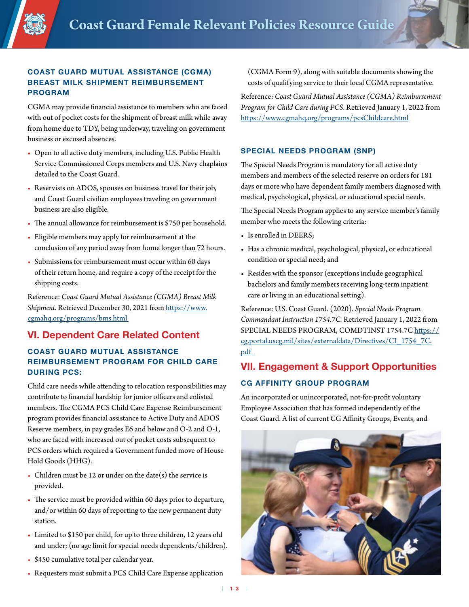#### <span id="page-12-0"></span>COAST GUARD MUTUAL ASSISTANCE (CGMA) BREAST MILK SHIPMENT REIMBURSEMENT PROGRAM

CGMA may provide financial assistance to members who are faced with out of pocket costs for the shipment of breast milk while away from home due to TDY, being underway, traveling on government business or excused absences.

- Open to all active duty members, including U.S. Public Health Service Commissioned Corps members and U.S. Navy chaplains detailed to the Coast Guard.
- Reservists on ADOS, spouses on business travel for their job, and Coast Guard civilian employees traveling on government business are also eligible.
- The annual allowance for reimbursement is \$750 per household.
- Eligible members may apply for reimbursement at the conclusion of any period away from home longer than 72 hours.
- Submissions for reimbursement must occur within 60 days of their return home, and require a copy of the receipt for the shipping costs.

Reference: *Coast Guard Mutual Assistance (CGMA) Breast Milk Shipment.* Retrieved December 30, 2021 from [https://www.](https://www.cgmahq.org/programs/bms.html ) [cgmahq.org/programs/bms.html](https://www.cgmahq.org/programs/bms.html ) 

# VI. Dependent Care Related Content

# COAST GUARD MUTUAL ASSISTANCE REIMBURSEMENT PROGRAM FOR CHILD CARE DURING PCS:

Child care needs while attending to relocation responsibilities may contribute to financial hardship for junior officers and enlisted members. The CGMA PCS Child Care Expense Reimbursement program provides financial assistance to Active Duty and ADOS Reserve members, in pay grades E6 and below and O-2 and O-1, who are faced with increased out of pocket costs subsequent to PCS orders which required a Government funded move of House Hold Goods (HHG).

- Children must be 12 or under on the date(s) the service is provided.
- The service must be provided within 60 days prior to departure, and/or within 60 days of reporting to the new permanent duty station.
- Limited to \$150 per child, for up to three children, 12 years old and under; (no age limit for special needs dependents/children).
- \$450 cumulative total per calendar year.
- Requesters must submit a PCS Child Care Expense application

(CGMA Form 9), along with suitable documents showing the costs of qualifying service to their local CGMA representative.

Reference: *Coast Guard Mutual Assistance (CGMA) Reimbursement Program for Child Care during PCS.* Retrieved January 1, 2022 from <https://www.cgmahq.org/programs/pcsChildcare.html>

# SPECIAL NEEDS PROGRAM (SNP)

The Special Needs Program is mandatory for all active duty members and members of the selected reserve on orders for 181 days or more who have dependent family members diagnosed with medical, psychological, physical, or educational special needs.

The Special Needs Program applies to any service member's family member who meets the following criteria:

- Is enrolled in DEERS;
- Has a chronic medical, psychological, physical, or educational condition or special need; and
- Resides with the sponsor (exceptions include geographical bachelors and family members receiving long-term inpatient care or living in an educational setting).

Reference: U.S. Coast Guard. (2020). *Special Needs Program. Commandant Instruction 1754.7C.* Retrieved January 1, 2022 from SPECIAL NEEDS PROGRAM, COMDTINST 1754.7C [https://](https://cg.portal.uscg.mil/sites/externaldata/Directives/CI_1754_7C.pdf  ) [cg.portal.uscg.mil/sites/externaldata/Directives/CI\\_1754\\_7C.](https://cg.portal.uscg.mil/sites/externaldata/Directives/CI_1754_7C.pdf  ) [pdf](https://cg.portal.uscg.mil/sites/externaldata/Directives/CI_1754_7C.pdf  ) 

# VII. Engagement & Support Opportunities CG AFFINITY GROUP PROGRAM

An incorporated or unincorporated, not-for-profit voluntary Employee Association that has formed independently of the Coast Guard. A list of current CG Affinity Groups, Events, and

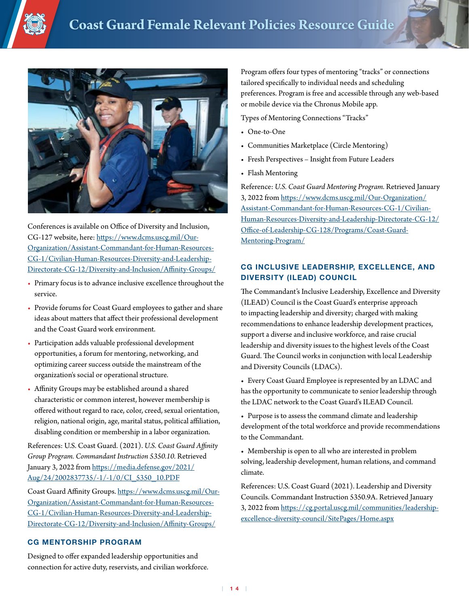



Conferences is available on Office of Diversity and Inclusion, CG-127 website, here: [https://www.dcms.uscg.mil/Our-](https://www.dcms.uscg.mil/Our-Organization/Assistant-Commandant-for-Human-Resources-CG-1/Civilian-Human-Resources-Diversity-and-Leadership-Directorate-CG-12/Diversity-and-Inclusion/Affinity-Groups/)[Organization/Assistant-Commandant-for-Human-Resources-](https://www.dcms.uscg.mil/Our-Organization/Assistant-Commandant-for-Human-Resources-CG-1/Civilian-Human-Resources-Diversity-and-Leadership-Directorate-CG-12/Diversity-and-Inclusion/Affinity-Groups/)[CG-1/Civilian-Human-Resources-Diversity-and-Leadership-](https://www.dcms.uscg.mil/Our-Organization/Assistant-Commandant-for-Human-Resources-CG-1/Civilian-Human-Resources-Diversity-and-Leadership-Directorate-CG-12/Diversity-and-Inclusion/Affinity-Groups/)[Directorate-CG-12/Diversity-and-Inclusion/Affinity-Groups/](https://www.dcms.uscg.mil/Our-Organization/Assistant-Commandant-for-Human-Resources-CG-1/Civilian-Human-Resources-Diversity-and-Leadership-Directorate-CG-12/Diversity-and-Inclusion/Affinity-Groups/)

- Primary focus is to advance inclusive excellence throughout the service.
- Provide forums for Coast Guard employees to gather and share ideas about matters that affect their professional development and the Coast Guard work environment.
- Participation adds valuable professional development opportunities, a forum for mentoring, networking, and optimizing career success outside the mainstream of the organization's social or operational structure.
- Affinity Groups may be established around a shared characteristic or common interest, however membership is offered without regard to race, color, creed, sexual orientation, religion, national origin, age, marital status, political affiliation, disabling condition or membership in a labor organization.

References: U.S. Coast Guard. (2021). *U.S. Coast Guard Affinity Group Program. Commandant Instruction 5350.10.* Retrieved January 3, 2022 from [https://media.defense.gov/2021/](https://media.defense.gov/2021/Aug/24/2002837735/-1/-1/0/CI_5350_10.PDF) [Aug/24/2002837735/-1/-1/0/CI\\_5350\\_10.PDF](https://media.defense.gov/2021/Aug/24/2002837735/-1/-1/0/CI_5350_10.PDF)

Coast Guard Affinity Groups. [https://www.dcms.uscg.mil/Our-](https://www.dcms.uscg.mil/Our-Organization/Assistant-Commandant-for-Human-Resources-CG-1/Civilian-Human-Resources-Diversity-and-Leadership-Directorate-CG-12/Diversity-and-Inclusion/Affinity-Groups/ )[Organization/Assistant-Commandant-for-Human-Resources-](https://www.dcms.uscg.mil/Our-Organization/Assistant-Commandant-for-Human-Resources-CG-1/Civilian-Human-Resources-Diversity-and-Leadership-Directorate-CG-12/Diversity-and-Inclusion/Affinity-Groups/ )[CG-1/Civilian-Human-Resources-Diversity-and-Leadership-](https://www.dcms.uscg.mil/Our-Organization/Assistant-Commandant-for-Human-Resources-CG-1/Civilian-Human-Resources-Diversity-and-Leadership-Directorate-CG-12/Diversity-and-Inclusion/Affinity-Groups/ )[Directorate-CG-12/Diversity-and-Inclusion/Affinity-Groups/](https://www.dcms.uscg.mil/Our-Organization/Assistant-Commandant-for-Human-Resources-CG-1/Civilian-Human-Resources-Diversity-and-Leadership-Directorate-CG-12/Diversity-and-Inclusion/Affinity-Groups/ )

#### CG MENTORSHIP PROGRAM

Designed to offer expanded leadership opportunities and connection for active duty, reservists, and civilian workforce. Program offers four types of mentoring "tracks" or connections tailored specifically to individual needs and scheduling preferences. Program is free and accessible through any web-based or mobile device via the Chronus Mobile app.

Types of Mentoring Connections "Tracks"

- One-to-One
- Communities Marketplace (Circle Mentoring)
- Fresh Perspectives Insight from Future Leaders
- Flash Mentoring

Reference: *U.S. Coast Guard Mentoring Program.* Retrieved January 3, 2022 from [https://www.dcms.uscg.mil/Our-Organization/](https://www.dcms.uscg.mil/Our-Organization/Assistant-Commandant-for-Human-Resources-CG-1/Civilian-Human-Resources-Diversity-and-Leadership-Directorate-CG-12/Office-of-Leadership-CG-128/Programs/Coast-Guard-Mentoring-Program/) [Assistant-Commandant-for-Human-Resources-CG-1/Civilian-](https://www.dcms.uscg.mil/Our-Organization/Assistant-Commandant-for-Human-Resources-CG-1/Civilian-Human-Resources-Diversity-and-Leadership-Directorate-CG-12/Office-of-Leadership-CG-128/Programs/Coast-Guard-Mentoring-Program/)[Human-Resources-Diversity-and-Leadership-Directorate-CG-12/](https://www.dcms.uscg.mil/Our-Organization/Assistant-Commandant-for-Human-Resources-CG-1/Civilian-Human-Resources-Diversity-and-Leadership-Directorate-CG-12/Office-of-Leadership-CG-128/Programs/Coast-Guard-Mentoring-Program/) [Office-of-Leadership-CG-128/Programs/Coast-Guard-](https://www.dcms.uscg.mil/Our-Organization/Assistant-Commandant-for-Human-Resources-CG-1/Civilian-Human-Resources-Diversity-and-Leadership-Directorate-CG-12/Office-of-Leadership-CG-128/Programs/Coast-Guard-Mentoring-Program/)[Mentoring-Program/](https://www.dcms.uscg.mil/Our-Organization/Assistant-Commandant-for-Human-Resources-CG-1/Civilian-Human-Resources-Diversity-and-Leadership-Directorate-CG-12/Office-of-Leadership-CG-128/Programs/Coast-Guard-Mentoring-Program/)

## CG INCLUSIVE LEADERSHIP, EXCELLENCE, AND DIVERSITY (ILEAD) COUNCIL

The Commandant's Inclusive Leadership, Excellence and Diversity (ILEAD) Council is the Coast Guard's enterprise approach to impacting leadership and diversity; charged with making recommendations to enhance leadership development practices, support a diverse and inclusive workforce, and raise crucial leadership and diversity issues to the highest levels of the Coast Guard. The Council works in conjunction with local Leadership and Diversity Councils (LDACs).

• Every Coast Guard Employee is represented by an LDAC and has the opportunity to communicate to senior leadership through the LDAC network to the Coast Guard's ILEAD Council.

• Purpose is to assess the command climate and leadership development of the total workforce and provide recommendations to the Commandant.

• Membership is open to all who are interested in problem solving, leadership development, human relations, and command climate.

References: U.S. Coast Guard (2021). Leadership and Diversity Councils. Commandant Instruction 5350.9A. Retrieved January 3, 2022 from [https://cg.portal.uscg.mil/communities/leadership](https://cg.portal.uscg.mil/communities/leadership-excellence-diversity-council/SitePages/Home.aspx )[excellence-diversity-council/SitePages/Home.aspx](https://cg.portal.uscg.mil/communities/leadership-excellence-diversity-council/SitePages/Home.aspx )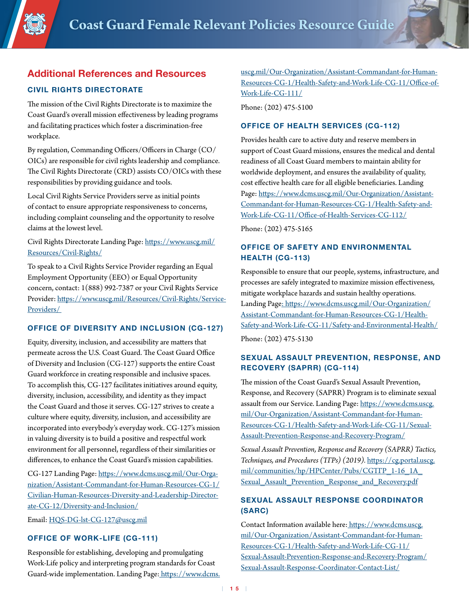<span id="page-14-0"></span>

# Additional References and Resources

## CIVIL RIGHTS DIRECTORATE

The mission of the Civil Rights Directorate is to maximize the Coast Guard's overall mission effectiveness by leading programs and facilitating practices which foster a discrimination-free workplace.

By regulation, Commanding Officers/Officers in Charge (CO/ OICs) are responsible for civil rights leadership and compliance. The Civil Rights Directorate (CRD) assists CO/OICs with these responsibilities by providing guidance and tools.

Local Civil Rights Service Providers serve as initial points of contact to ensure appropriate responsiveness to concerns, including complaint counseling and the opportunity to resolve claims at the lowest level.

Civil Rights Directorate Landing Page: https://www.uscg.mil/ Resources/Civil-Rights/

To speak to a Civil Rights Service Provider regarding an Equal Employment Opportunity (EEO) or Equal Opportunity concern, contact: 1(888) 992-7387 or your Civil Rights Service Provider: [https://www.uscg.mil/Resources/Civil-Rights/Service-](https://www.uscg.mil/Resources/Civil-Rights/Service-Providers/ )[Providers/](https://www.uscg.mil/Resources/Civil-Rights/Service-Providers/ ) 

#### OFFICE OF DIVERSITY AND INCLUSION (CG-127)

Equity, diversity, inclusion, and accessibility are matters that permeate across the U.S. Coast Guard. The Coast Guard Office of Diversity and Inclusion (CG-127) supports the entire Coast Guard workforce in creating responsible and inclusive spaces. To accomplish this, CG-127 facilitates initiatives around equity, diversity, inclusion, accessibility, and identity as they impact the Coast Guard and those it serves. CG-127 strives to create a culture where equity, diversity, inclusion, and accessibility are incorporated into everybody's everyday work. CG-127's mission in valuing diversity is to build a positive and respectful work environment for all personnel, regardless of their similarities or differences, to enhance the Coast Guard's mission capabilities.

CG-127 Landing Page: [https://www.dcms.uscg.mil/Our-Orga](https://www.dcms.uscg.mil/Our-Organization/Assistant-Commandant-for-Human-Resources-CG-1/Civilian-Human-Resources-Diversity-and-Leadership-Directorate-CG-12/Diversity-and-Inclusion/)[nization/Assistant-Commandant-for-Human-Resources-CG-1/](https://www.dcms.uscg.mil/Our-Organization/Assistant-Commandant-for-Human-Resources-CG-1/Civilian-Human-Resources-Diversity-and-Leadership-Directorate-CG-12/Diversity-and-Inclusion/) [Civilian-Human-Resources-Diversity-and-Leadership-Director](https://www.dcms.uscg.mil/Our-Organization/Assistant-Commandant-for-Human-Resources-CG-1/Civilian-Human-Resources-Diversity-and-Leadership-Directorate-CG-12/Diversity-and-Inclusion/)[ate-CG-12/Diversity-and-Inclusion/](https://www.dcms.uscg.mil/Our-Organization/Assistant-Commandant-for-Human-Resources-CG-1/Civilian-Human-Resources-Diversity-and-Leadership-Directorate-CG-12/Diversity-and-Inclusion/)

Email: [HQS-DG-lst-CG-127@uscg.mil](mailto:HQS-DG-lst-CG-127%40uscg.mil?subject=)

#### OFFICE OF WORK-LIFE (CG-111)

Responsible for establishing, developing and promulgating Work-Life policy and interpreting program standards for Coast Guard-wide implementation. Landing Page[: https://www.dcms.]( https://www.dcms.uscg.mil/Our-Organization/Assistant-Commandant-for-Human-Resources-CG-1/Health-Safety-and-Work-Life-CG-11/Office-of-Work-Life-CG-111/) [uscg.mil/Our-Organization/Assistant-Commandant-for-Human-]( https://www.dcms.uscg.mil/Our-Organization/Assistant-Commandant-for-Human-Resources-CG-1/Health-Safety-and-Work-Life-CG-11/Office-of-Work-Life-CG-111/)[Resources-CG-1/Health-Safety-and-Work-Life-CG-11/Office-of-]( https://www.dcms.uscg.mil/Our-Organization/Assistant-Commandant-for-Human-Resources-CG-1/Health-Safety-and-Work-Life-CG-11/Office-of-Work-Life-CG-111/)[Work-Life-CG-111/]( https://www.dcms.uscg.mil/Our-Organization/Assistant-Commandant-for-Human-Resources-CG-1/Health-Safety-and-Work-Life-CG-11/Office-of-Work-Life-CG-111/)

Phone: (202) 475-5100

#### OFFICE OF HEALTH SERVICES (CG-112)

Provides health care to active duty and reserve members in support of Coast Guard missions, ensures the medical and dental readiness of all Coast Guard members to maintain ability for worldwide deployment, and ensures the availability of quality, cost effective health care for all eligible beneficiaries. Landing Page: [https://www.dcms.uscg.mil/Our-Organization/Assistant-](https://www.dcms.uscg.mil/Our-Organization/Assistant-Commandant-for-Human-Resources-CG-1/Health-Safety-and-Work-Life-CG-11/Office-of-Health-Services-CG-112/)[Commandant-for-Human-Resources-CG-1/Health-Safety-and-](https://www.dcms.uscg.mil/Our-Organization/Assistant-Commandant-for-Human-Resources-CG-1/Health-Safety-and-Work-Life-CG-11/Office-of-Health-Services-CG-112/)[Work-Life-CG-11/Office-of-Health-Services-CG-112/](https://www.dcms.uscg.mil/Our-Organization/Assistant-Commandant-for-Human-Resources-CG-1/Health-Safety-and-Work-Life-CG-11/Office-of-Health-Services-CG-112/)

Phone: (202) 475-5165

#### OFFICE OF SAFETY AND ENVIRONMENTAL HEALTH (CG-113)

Responsible to ensure that our people, systems, infrastructure, and processes are safely integrated to maximize mission effectiveness, mitigate workplace hazards and sustain healthy operations. Landing Page[: https://www.dcms.uscg.mil/Our-Organization/](http://: https://www.dcms.uscg.mil/Our-Organization/Assistant-Commandant-for-Human-Resources-CG-1/Health-Safety-and-Work-Life-CG-11/Safety-and-Environmental-Health/) [Assistant-Commandant-for-Human-Resources-CG-1/Health-](http://: https://www.dcms.uscg.mil/Our-Organization/Assistant-Commandant-for-Human-Resources-CG-1/Health-Safety-and-Work-Life-CG-11/Safety-and-Environmental-Health/)[Safety-and-Work-Life-CG-11/Safety-and-Environmental-Health/](http://: https://www.dcms.uscg.mil/Our-Organization/Assistant-Commandant-for-Human-Resources-CG-1/Health-Safety-and-Work-Life-CG-11/Safety-and-Environmental-Health/) Phone: (202) 475-5130

#### SEXUAL ASSAULT PREVENTION, RESPONSE, AND RECOVERY (SAPRR) (CG-114)

The mission of the Coast Guard's Sexual Assault Prevention, Response, and Recovery (SAPRR) Program is to eliminate sexual assault from our Service. Landing Page: [https://www.dcms.uscg.](https://www.dcms.uscg.mil/Our-Organization/Assistant-Commandant-for-Human-Resources-CG-1/Health-Safety-and-Work-Life-CG-11/Sexual-Assault-Prevention-Response-and-Recovery-Program/) [mil/Our-Organization/Assistant-Commandant-for-Human-](https://www.dcms.uscg.mil/Our-Organization/Assistant-Commandant-for-Human-Resources-CG-1/Health-Safety-and-Work-Life-CG-11/Sexual-Assault-Prevention-Response-and-Recovery-Program/)[Resources-CG-1/Health-Safety-and-Work-Life-CG-11/Sexual-](https://www.dcms.uscg.mil/Our-Organization/Assistant-Commandant-for-Human-Resources-CG-1/Health-Safety-and-Work-Life-CG-11/Sexual-Assault-Prevention-Response-and-Recovery-Program/)[Assault-Prevention-Response-and-Recovery-Program/](https://www.dcms.uscg.mil/Our-Organization/Assistant-Commandant-for-Human-Resources-CG-1/Health-Safety-and-Work-Life-CG-11/Sexual-Assault-Prevention-Response-and-Recovery-Program/)

*Sexual Assault Prevention, Response and Recovery (SAPRR) Tactics, Techniques, and Procedures (TTPs) (2019).* [https://cg.portal.uscg.](https://cg.portal.uscg.mil/communities/hp/HPCenter/Pubs/CGTTP_1-16_1A_Sexual_Assault_Prevention_Response_and_Recovery.pdf) [mil/communities/hp/HPCenter/Pubs/CGTTP\\_1-16\\_1A\\_](https://cg.portal.uscg.mil/communities/hp/HPCenter/Pubs/CGTTP_1-16_1A_Sexual_Assault_Prevention_Response_and_Recovery.pdf) Sexual Assault Prevention Response and Recovery.pdf

# SEXUAL ASSAULT RESPONSE COORDINATOR (SARC)

Contact Information available here: [https://www.dcms.uscg.]( https://www.dcms.uscg.mil/Our-Organization/Assistant-Commandant-for-Human-Resources-CG-1/Health-Safety-and-Work-Life-CG-11/Sexual-Assault-Prevention-Response-and-Recovery-Program/Sexual-Assault-Response-Coordinator-Contact-List/) [mil/Our-Organization/Assistant-Commandant-for-Human-]( https://www.dcms.uscg.mil/Our-Organization/Assistant-Commandant-for-Human-Resources-CG-1/Health-Safety-and-Work-Life-CG-11/Sexual-Assault-Prevention-Response-and-Recovery-Program/Sexual-Assault-Response-Coordinator-Contact-List/)[Resources-CG-1/Health-Safety-and-Work-Life-CG-11/]( https://www.dcms.uscg.mil/Our-Organization/Assistant-Commandant-for-Human-Resources-CG-1/Health-Safety-and-Work-Life-CG-11/Sexual-Assault-Prevention-Response-and-Recovery-Program/Sexual-Assault-Response-Coordinator-Contact-List/) [Sexual-Assault-Prevention-Response-and-Recovery-Program/]( https://www.dcms.uscg.mil/Our-Organization/Assistant-Commandant-for-Human-Resources-CG-1/Health-Safety-and-Work-Life-CG-11/Sexual-Assault-Prevention-Response-and-Recovery-Program/Sexual-Assault-Response-Coordinator-Contact-List/) [Sexual-Assault-Response-Coordinator-Contact-List/]( https://www.dcms.uscg.mil/Our-Organization/Assistant-Commandant-for-Human-Resources-CG-1/Health-Safety-and-Work-Life-CG-11/Sexual-Assault-Prevention-Response-and-Recovery-Program/Sexual-Assault-Response-Coordinator-Contact-List/)